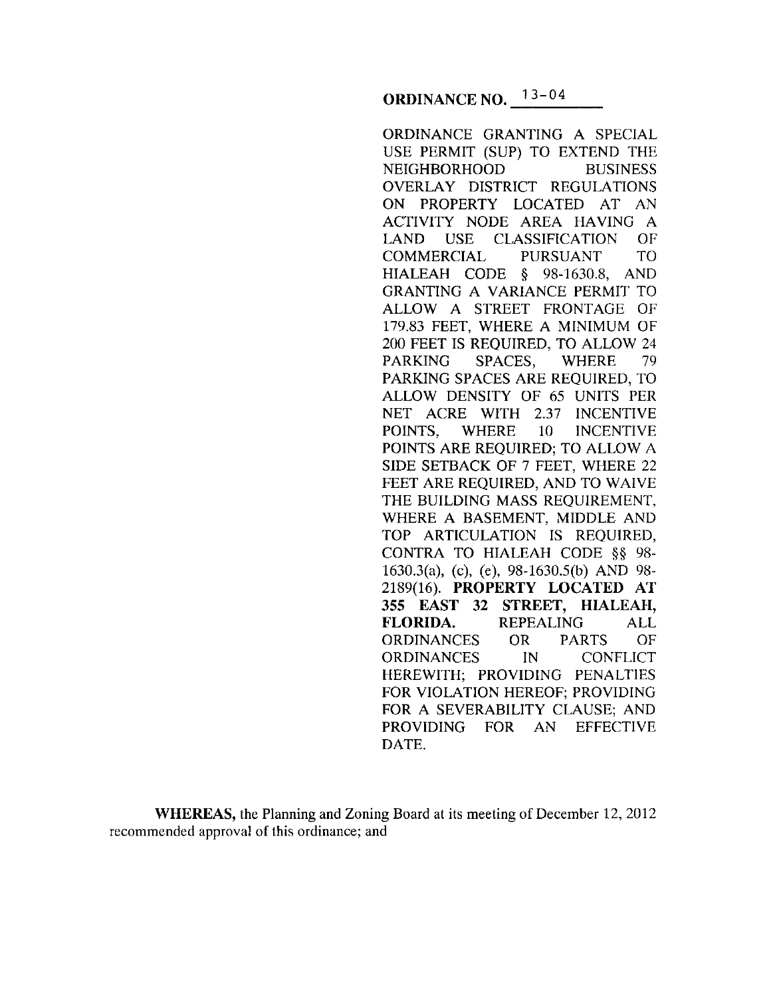ORDINANCE GRANTING A SPECIAL USE PERMIT (SUP) TO EXTEND THE NEIGHBORHOOD BUSINESS OVERLAY DISTRICT REGULATIONS ON PROPERTY LOCATED AT AN ACTIVITY NODE AREA HAVING A LAND USE CLASSIFICATION OF COMMERCIAL PURSUANT TO HIALEAH CODE § 98-1630.8, AND GRANTING A VARIANCE PERMIT TO ALLOW A STREET FRONTAGE OF 179.83 FEET, WHERE A MINIMUM OF 200 FEET IS REQUIRED, TO ALLOW 24 PARKING SPACES, WHERE 79 PARKING SPACES ARE REQUIRED, TO ALLOW DENSITY OF 65 UNITS PER NET ACRE WITH 2.37 INCENTIVE POINTS, WHERE 10 INCENTIVE POINTS ARE REQUIRED; TO ALLOW A SIDE SETBACK OF 7 FEET, WHERE 22 FEET ARE REQUIRED, AND TO WAIVE THE BUILDING MASS REQUIREMENT, WHERE A BASEMENT, MIDDLE AND TOP ARTICULATION IS REQUIRED, CONTRA TO HIALEAH CODE §§ 98- 1630.3(a), (c), (e), 98-1630.5(b) AND 98- 2189(16). **PROPERTY LOCATED AT 355 EAST 32 STREET, HIALEAH, FLORIDA.** REPEALING ALL ORDINANCES OR PARTS OF ORDINANCES IN CONFLICT HEREWITH; PROVIDING PENALTIES FOR VIOLATION HEREOF; PROVIDING FOR A SEVERABILITY CLAUSE; AND PROVIDING FOR AN EFFECTIVE DATE.

**WHEREAS,** the Planning and Zoning Board at its meeting of December 12, 2012 recommended approval of this ordinance; and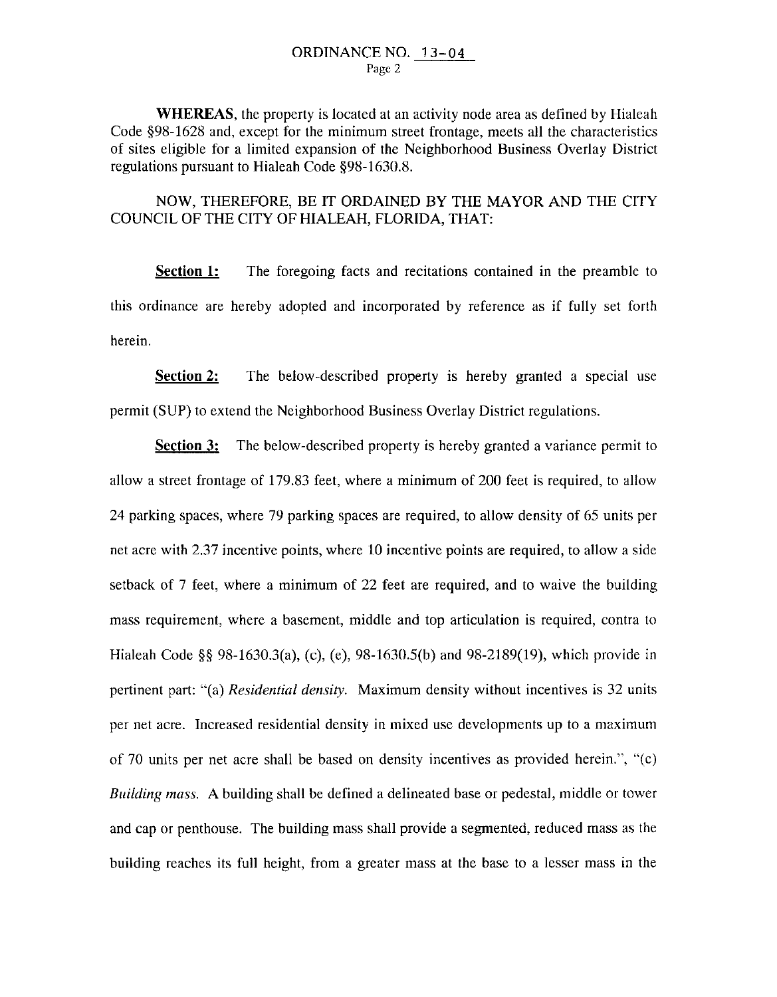**WHEREAS,** the property is located at an activity node area as defined by Hialeah Code §98-1628 and, except for the minimum street frontage, meets all the characteristics of sites eligible for a limited expansion of the Neighborhood Business Overlay District regulations pursuant to Hialeah Code §98-1630.8.

NOW, THEREFORE, BE IT ORDAINED BY THE MAYOR AND THE CITY COUNCIL OF THE CITY OF HIALEAH, FLORIDA, THAT:

**Section 1:** The foregoing facts and recitations contained in the preamble to this ordinance are hereby adopted and incorporated by reference as if fully set forth herein.

**Section 2:** The below-described property is hereby granted a special use permit (SUP) to extend the Neighborhood Business Overlay District regulations.

**Section 3:** The below-described property is hereby granted a variance permit to allow a street frontage of 179.83 feet, where a minimum of 200 feet is required, to allow 24 parking spaces, where 79 parking spaces are required, to allow density of 65 units per net acre with 2.37 incentive points, where 10 incentive points are required, to allow a side setback of 7 feet, where a minimum of 22 feet are required, and to waive the building mass requirement, where a basement, middle and top articulation is required, contra to Hialeah Code §§ 98-1630.3(a), (c), (e), 98-1630.5(b) and 98-2189(19), which provide in pertinent part: "(a) *Residential density.* Maximum density without incentives is 32 units per net acre. Increased residential density in mixed use developments up to a maximum of 70 units per net acre shall be based on density incentives as provided herein.", " $(c)$ *Building mass.* A building shall be defined a delineated base or pedestal, middle or tower and cap or penthouse. The building mass shall provide a segmented, reduced mass as the building reaches its full height, from a greater mass at the base to a lesser mass in the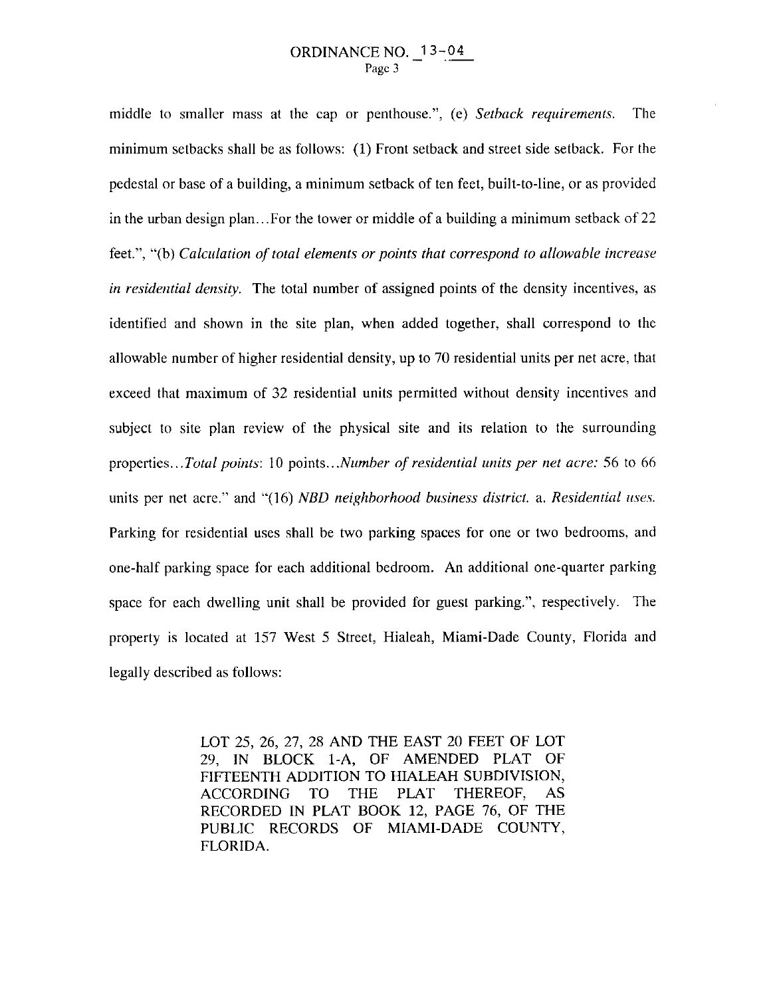middle to smaller mass at the cap or penthouse.", (e) *Setback requirements.* The minimum setbacks shall be as follows: (1) Front setback and street side setback. For the pedestal or base of a building, a minimum setback of ten feet, built-to-line, or as provided in the urban design plan... For the tower or middle of a building a minimum setback of 22 feet.", "(b) *Calculation of total elements or points that correspond to allowable increase in residential density.* The total number of assigned points of the density incentives, as identified and shown in the site plan, when added together, shall correspond to the allowable number of higher residential density, up to 70 residential units per net acre, that exceed that maximum of 32 residential units permitted without density incentives and subject to site plan review of the physical site and its relation to the surrounding properties ... *Total points:* I 0 points .. *. Number of residential units per net acre:* 56 to 66 units per net acre." and "(16) *NBD neighborhood business district.* a. *Residential uses.* Parking for residential uses shall be two parking spaces for one or two bedrooms, and one-half parking space for each additional bedroom. An additional one-quarter parking space for each dwelling unit shall be provided for guest parking.", respectively. The property is located at 157 West 5 Street, Hialeah, Miami-Dade County, Florida and legally described as follows:

> LOT 25, 26, 27, 28 AND THE EAST 20 FEET OF LOT 29, IN BLOCK 1-A, OF AMENDED PLAT OF FIFTEENTH ADDITION TO HIALEAH SUBDIVISION, ACCORDING TO THE PLAT THEREOF, AS RECORDED IN PLAT BOOK 12, PAGE 76, OF THE PUBLIC RECORDS OF MIAMI-DADE COUNTY, FLORIDA.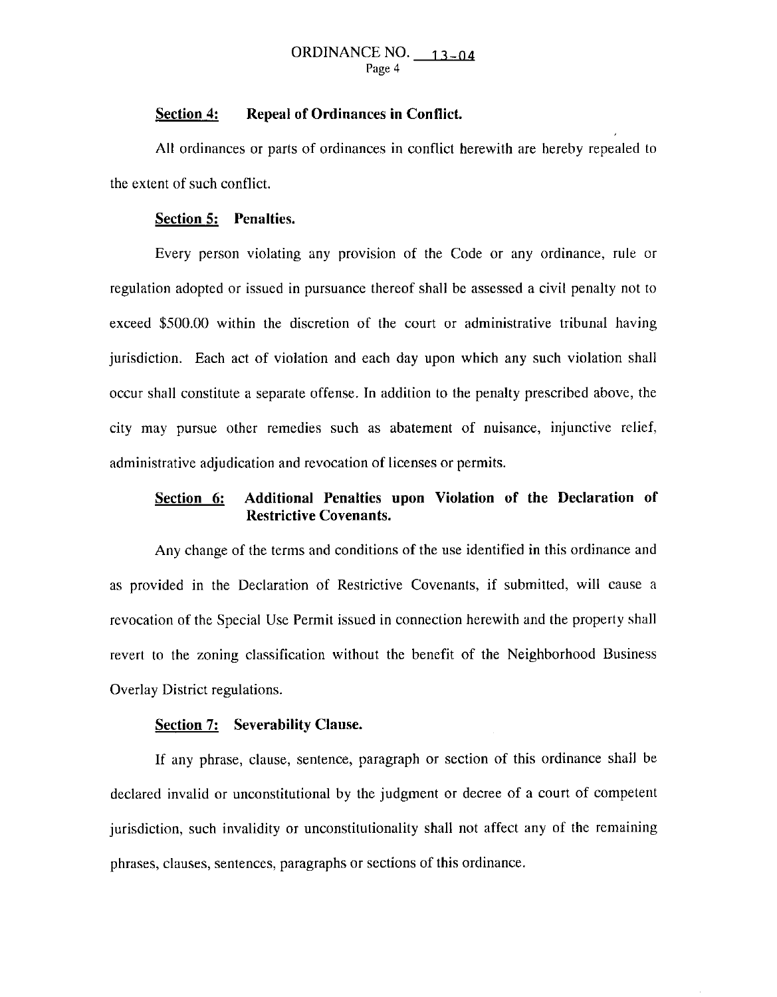#### ORDINANCE NO.  $13-04$ Page 4

### **Section 4: Repeal of Ordinances in Conflict.**

All ordinances or parts of ordinances in conflict herewith are hereby repealed to the extent of such conflict.

### **Section 5: Penalties.**

Every person violating any provision of the Code or any ordinance, rule or regulation adopted or issued in pursuance thereof shall be assessed a civil penalty not to exceed \$500.00 within the discretion of the court or administrative tribunal having jurisdiction. Each act of violation and each day upon which any such violation shall occur shall constitute a separate offense. In addition to the penalty prescribed above, the city may pursue other remedies such as abatement of nuisance, injunctive relief, administrative adjudication and revocation of licenses or permits.

# **Section 6: Additional Penalties upon Violation of the Declaration of Restrictive Covenants.**

Any change of the terms and conditions of the use identified in this ordinance and as provided in the Declaration of Restrictive Covenants, if submitted, will cause a revocation of the Special Use Permit issued in connection herewith and the property shall revert to the zoning classification without the benefit of the Neighborhood Business Overlay District regulations.

### **Section 7: Severability Clause.**

If any phrase, clause, sentence, paragraph or section of this ordinance shall be declared invalid or unconstitutional by the judgment or decree of a court of competent jurisdiction, such invalidity or unconstitutionality shall not affect any of the remaining phrases, clauses, sentences, paragraphs or sections of this ordinance.